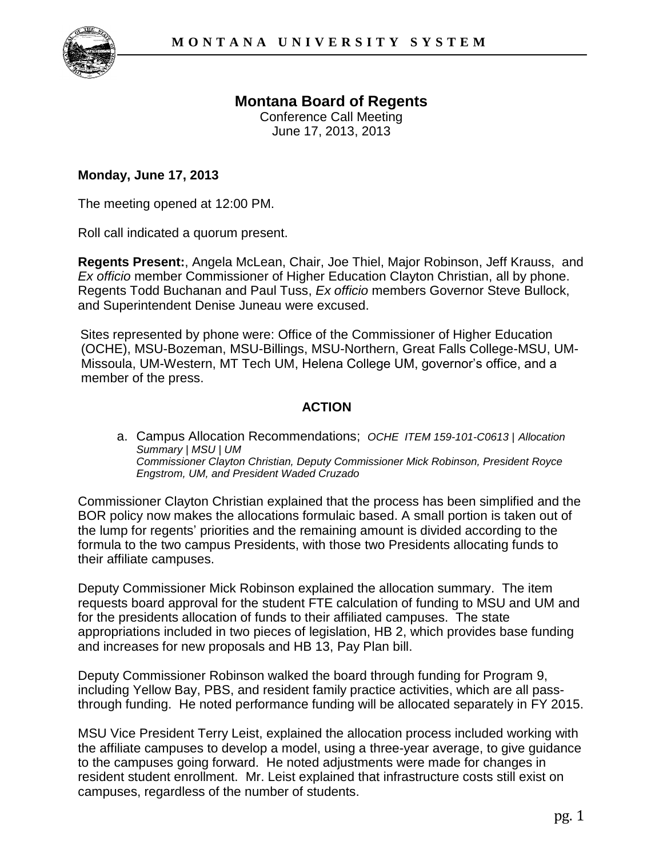

## **Montana Board of Regents**

Conference Call Meeting June 17, 2013, 2013

## **Monday, June 17, 2013**

The meeting opened at 12:00 PM.

Roll call indicated a quorum present.

**Regents Present:**, Angela McLean, Chair, Joe Thiel, Major Robinson, Jeff Krauss, and *Ex officio* member Commissioner of Higher Education Clayton Christian, all by phone. Regents Todd Buchanan and Paul Tuss, *Ex officio* members Governor Steve Bullock, and Superintendent Denise Juneau were excused.

Sites represented by phone were: Office of the Commissioner of Higher Education (OCHE), MSU-Bozeman, MSU-Billings, MSU-Northern, Great Falls College-MSU, UM-Missoula, UM-Western, MT Tech UM, Helena College UM, governor's office, and a member of the press.

## **ACTION**

a. Campus Allocation Recommendations; *OCHE ITEM 159-101-C0613 | Allocation Summary | MSU | UM Commissioner Clayton Christian, Deputy Commissioner Mick Robinson, President Royce Engstrom, UM, and President Waded Cruzado*

Commissioner Clayton Christian explained that the process has been simplified and the BOR policy now makes the allocations formulaic based. A small portion is taken out of the lump for regents' priorities and the remaining amount is divided according to the formula to the two campus Presidents, with those two Presidents allocating funds to their affiliate campuses.

Deputy Commissioner Mick Robinson explained the allocation summary. The item requests board approval for the student FTE calculation of funding to MSU and UM and for the presidents allocation of funds to their affiliated campuses. The state appropriations included in two pieces of legislation, HB 2, which provides base funding and increases for new proposals and HB 13, Pay Plan bill.

Deputy Commissioner Robinson walked the board through funding for Program 9, including Yellow Bay, PBS, and resident family practice activities, which are all passthrough funding. He noted performance funding will be allocated separately in FY 2015.

MSU Vice President Terry Leist, explained the allocation process included working with the affiliate campuses to develop a model, using a three-year average, to give guidance to the campuses going forward. He noted adjustments were made for changes in resident student enrollment. Mr. Leist explained that infrastructure costs still exist on campuses, regardless of the number of students.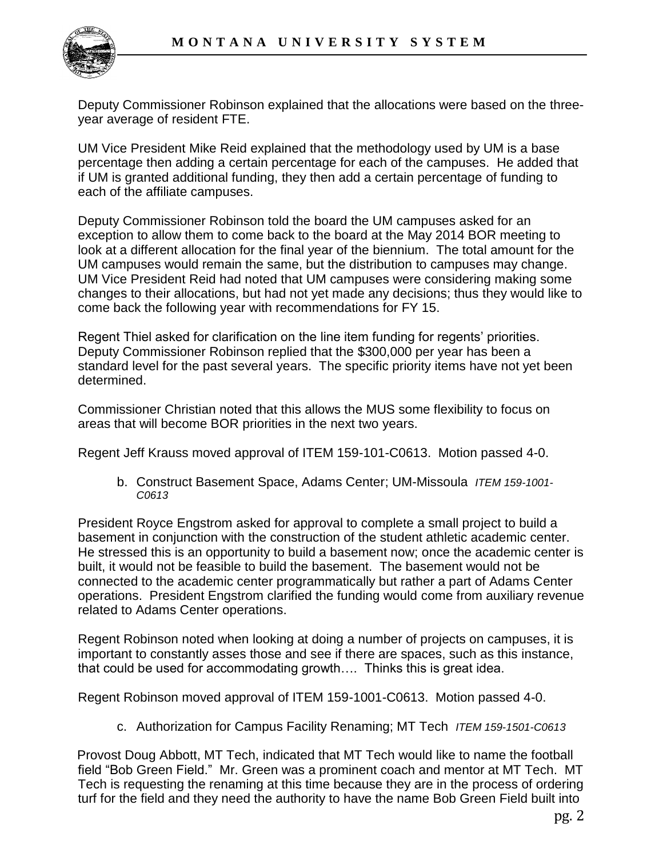

Deputy Commissioner Robinson explained that the allocations were based on the threeyear average of resident FTE.

UM Vice President Mike Reid explained that the methodology used by UM is a base percentage then adding a certain percentage for each of the campuses. He added that if UM is granted additional funding, they then add a certain percentage of funding to each of the affiliate campuses.

Deputy Commissioner Robinson told the board the UM campuses asked for an exception to allow them to come back to the board at the May 2014 BOR meeting to look at a different allocation for the final year of the biennium. The total amount for the UM campuses would remain the same, but the distribution to campuses may change. UM Vice President Reid had noted that UM campuses were considering making some changes to their allocations, but had not yet made any decisions; thus they would like to come back the following year with recommendations for FY 15.

Regent Thiel asked for clarification on the line item funding for regents' priorities. Deputy Commissioner Robinson replied that the \$300,000 per year has been a standard level for the past several years. The specific priority items have not yet been determined.

Commissioner Christian noted that this allows the MUS some flexibility to focus on areas that will become BOR priorities in the next two years.

Regent Jeff Krauss moved approval of ITEM 159-101-C0613. Motion passed 4-0.

b. Construct Basement Space, Adams Center; UM-Missoula *ITEM 159-1001- C0613* 

President Royce Engstrom asked for approval to complete a small project to build a basement in conjunction with the construction of the student athletic academic center. He stressed this is an opportunity to build a basement now; once the academic center is built, it would not be feasible to build the basement. The basement would not be connected to the academic center programmatically but rather a part of Adams Center operations. President Engstrom clarified the funding would come from auxiliary revenue related to Adams Center operations.

Regent Robinson noted when looking at doing a number of projects on campuses, it is important to constantly asses those and see if there are spaces, such as this instance, that could be used for accommodating growth…. Thinks this is great idea.

Regent Robinson moved approval of ITEM 159-1001-C0613. Motion passed 4-0.

c. Authorization for Campus Facility Renaming; MT Tech *ITEM 159-1501-C0613* 

Provost Doug Abbott, MT Tech, indicated that MT Tech would like to name the football field "Bob Green Field." Mr. Green was a prominent coach and mentor at MT Tech. MT Tech is requesting the renaming at this time because they are in the process of ordering turf for the field and they need the authority to have the name Bob Green Field built into